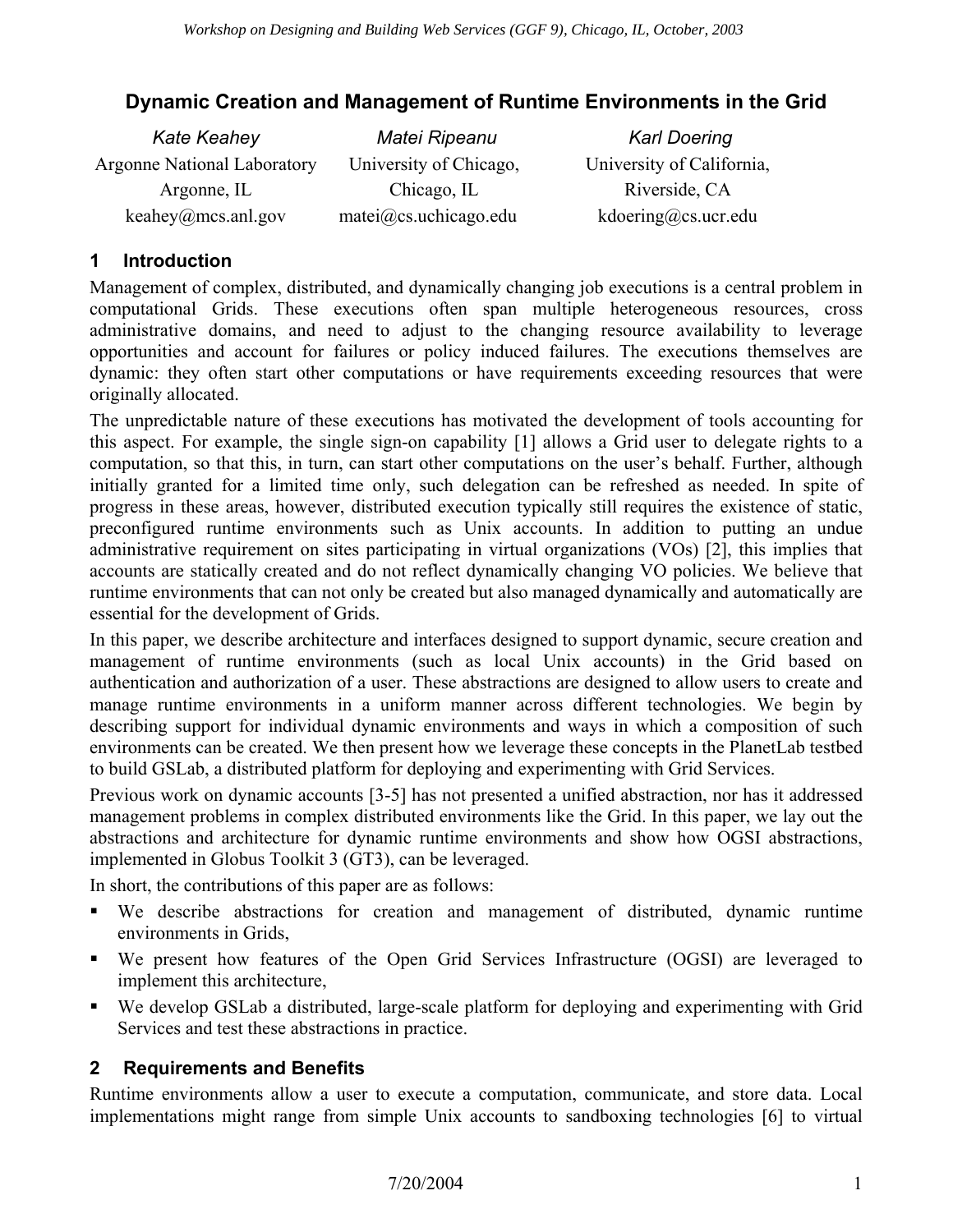# **Dynamic Creation and Management of Runtime Environments in the Grid**

| <b>Kate Keahey</b>                 | Matei Ripeanu          | <b>Karl Doering</b>       |
|------------------------------------|------------------------|---------------------------|
| <b>Argonne National Laboratory</b> | University of Chicago, | University of California, |
| Argonne, IL                        | Chicago, IL            | Riverside, CA             |
| keahey@mcs.anl.gov                 | matei@cs. uchicago.edu | kdoering@cs. ucr.edu      |

### **1 Introduction**

Management of complex, distributed, and dynamically changing job executions is a central problem in computational Grids. These executions often span multiple heterogeneous resources, cross administrative domains, and need to adjust to the changing resource availability to leverage opportunities and account for failures or policy induced failures. The executions themselves are dynamic: they often start other computations or have requirements exceeding resources that were originally allocated.

The unpredictable nature of these executions has motivated the development of tools accounting for this aspect. For example, the single sign-on capability [1] allows a Grid user to delegate rights to a computation, so that this, in turn, can start other computations on the user's behalf. Further, although initially granted for a limited time only, such delegation can be refreshed as needed. In spite of progress in these areas, however, distributed execution typically still requires the existence of static, preconfigured runtime environments such as Unix accounts. In addition to putting an undue administrative requirement on sites participating in virtual organizations (VOs) [2], this implies that accounts are statically created and do not reflect dynamically changing VO policies. We believe that runtime environments that can not only be created but also managed dynamically and automatically are essential for the development of Grids.

In this paper, we describe architecture and interfaces designed to support dynamic, secure creation and management of runtime environments (such as local Unix accounts) in the Grid based on authentication and authorization of a user. These abstractions are designed to allow users to create and manage runtime environments in a uniform manner across different technologies. We begin by describing support for individual dynamic environments and ways in which a composition of such environments can be created. We then present how we leverage these concepts in the PlanetLab testbed to build GSLab, a distributed platform for deploying and experimenting with Grid Services.

Previous work on dynamic accounts [3-5] has not presented a unified abstraction, nor has it addressed management problems in complex distributed environments like the Grid. In this paper, we lay out the abstractions and architecture for dynamic runtime environments and show how OGSI abstractions, implemented in Globus Toolkit 3 (GT3), can be leveraged.

In short, the contributions of this paper are as follows:

- We describe abstractions for creation and management of distributed, dynamic runtime environments in Grids,
- We present how features of the Open Grid Services Infrastructure (OGSI) are leveraged to implement this architecture,
- We develop GSLab a distributed, large-scale platform for deploying and experimenting with Grid Services and test these abstractions in practice.

### **2 Requirements and Benefits**

Runtime environments allow a user to execute a computation, communicate, and store data. Local implementations might range from simple Unix accounts to sandboxing technologies [6] to virtual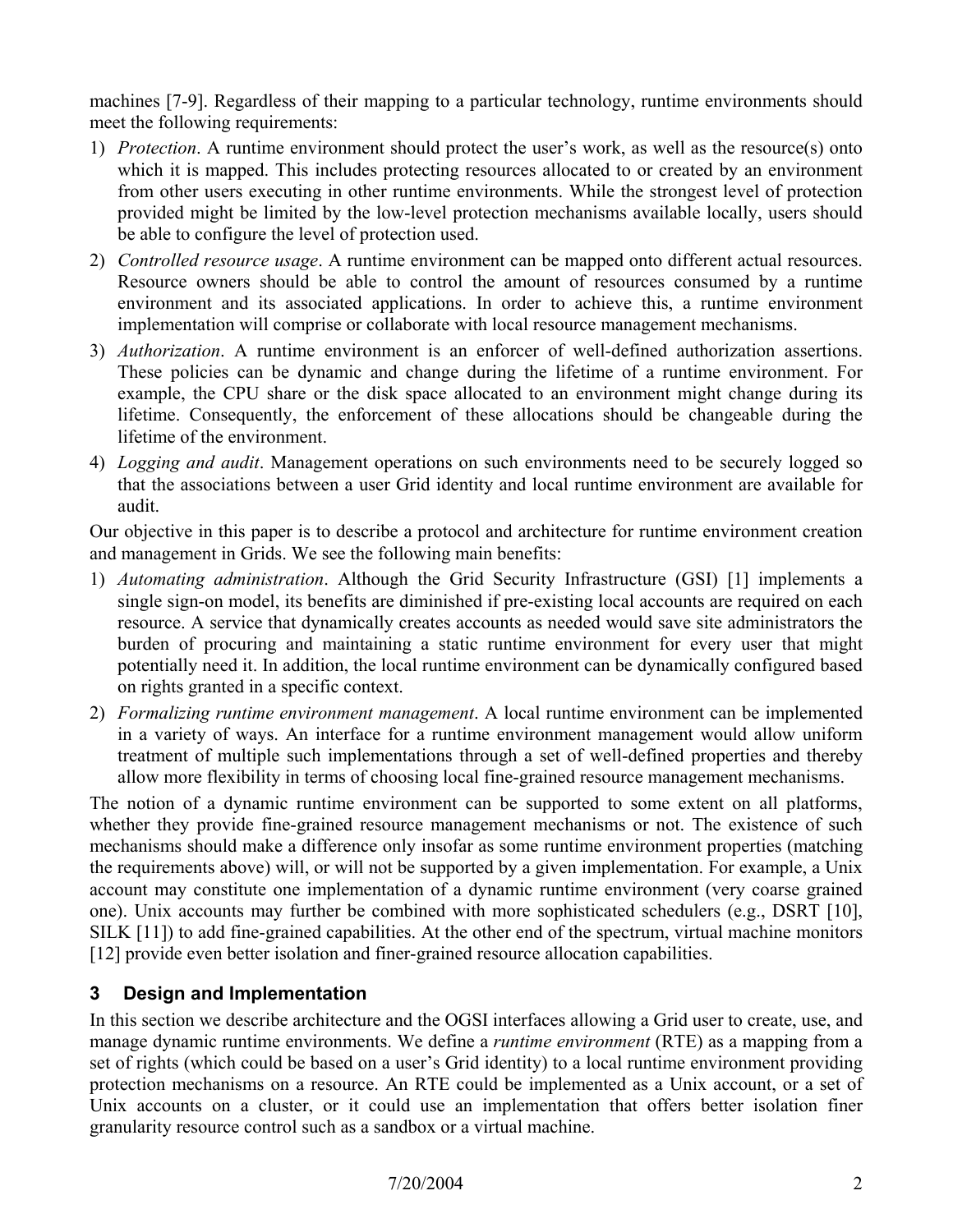machines [7-9]. Regardless of their mapping to a particular technology, runtime environments should meet the following requirements:

- 1) *Protection*. A runtime environment should protect the user's work, as well as the resource(s) onto which it is mapped. This includes protecting resources allocated to or created by an environment from other users executing in other runtime environments. While the strongest level of protection provided might be limited by the low-level protection mechanisms available locally, users should be able to configure the level of protection used.
- 2) *Controlled resource usage*. A runtime environment can be mapped onto different actual resources. Resource owners should be able to control the amount of resources consumed by a runtime environment and its associated applications. In order to achieve this, a runtime environment implementation will comprise or collaborate with local resource management mechanisms.
- 3) *Authorization*. A runtime environment is an enforcer of well-defined authorization assertions. These policies can be dynamic and change during the lifetime of a runtime environment. For example, the CPU share or the disk space allocated to an environment might change during its lifetime. Consequently, the enforcement of these allocations should be changeable during the lifetime of the environment.
- 4) *Logging and audit*. Management operations on such environments need to be securely logged so that the associations between a user Grid identity and local runtime environment are available for audit.

Our objective in this paper is to describe a protocol and architecture for runtime environment creation and management in Grids. We see the following main benefits:

- 1) *Automating administration*. Although the Grid Security Infrastructure (GSI) [1] implements a single sign-on model, its benefits are diminished if pre-existing local accounts are required on each resource. A service that dynamically creates accounts as needed would save site administrators the burden of procuring and maintaining a static runtime environment for every user that might potentially need it. In addition, the local runtime environment can be dynamically configured based on rights granted in a specific context.
- 2) *Formalizing runtime environment management*. A local runtime environment can be implemented in a variety of ways. An interface for a runtime environment management would allow uniform treatment of multiple such implementations through a set of well-defined properties and thereby allow more flexibility in terms of choosing local fine-grained resource management mechanisms.

The notion of a dynamic runtime environment can be supported to some extent on all platforms, whether they provide fine-grained resource management mechanisms or not. The existence of such mechanisms should make a difference only insofar as some runtime environment properties (matching the requirements above) will, or will not be supported by a given implementation. For example, a Unix account may constitute one implementation of a dynamic runtime environment (very coarse grained one). Unix accounts may further be combined with more sophisticated schedulers (e.g., DSRT [10], SILK [11]) to add fine-grained capabilities. At the other end of the spectrum, virtual machine monitors [12] provide even better isolation and finer-grained resource allocation capabilities.

### **3 Design and Implementation**

In this section we describe architecture and the OGSI interfaces allowing a Grid user to create, use, and manage dynamic runtime environments. We define a *runtime environment* (RTE) as a mapping from a set of rights (which could be based on a user's Grid identity) to a local runtime environment providing protection mechanisms on a resource. An RTE could be implemented as a Unix account, or a set of Unix accounts on a cluster, or it could use an implementation that offers better isolation finer granularity resource control such as a sandbox or a virtual machine.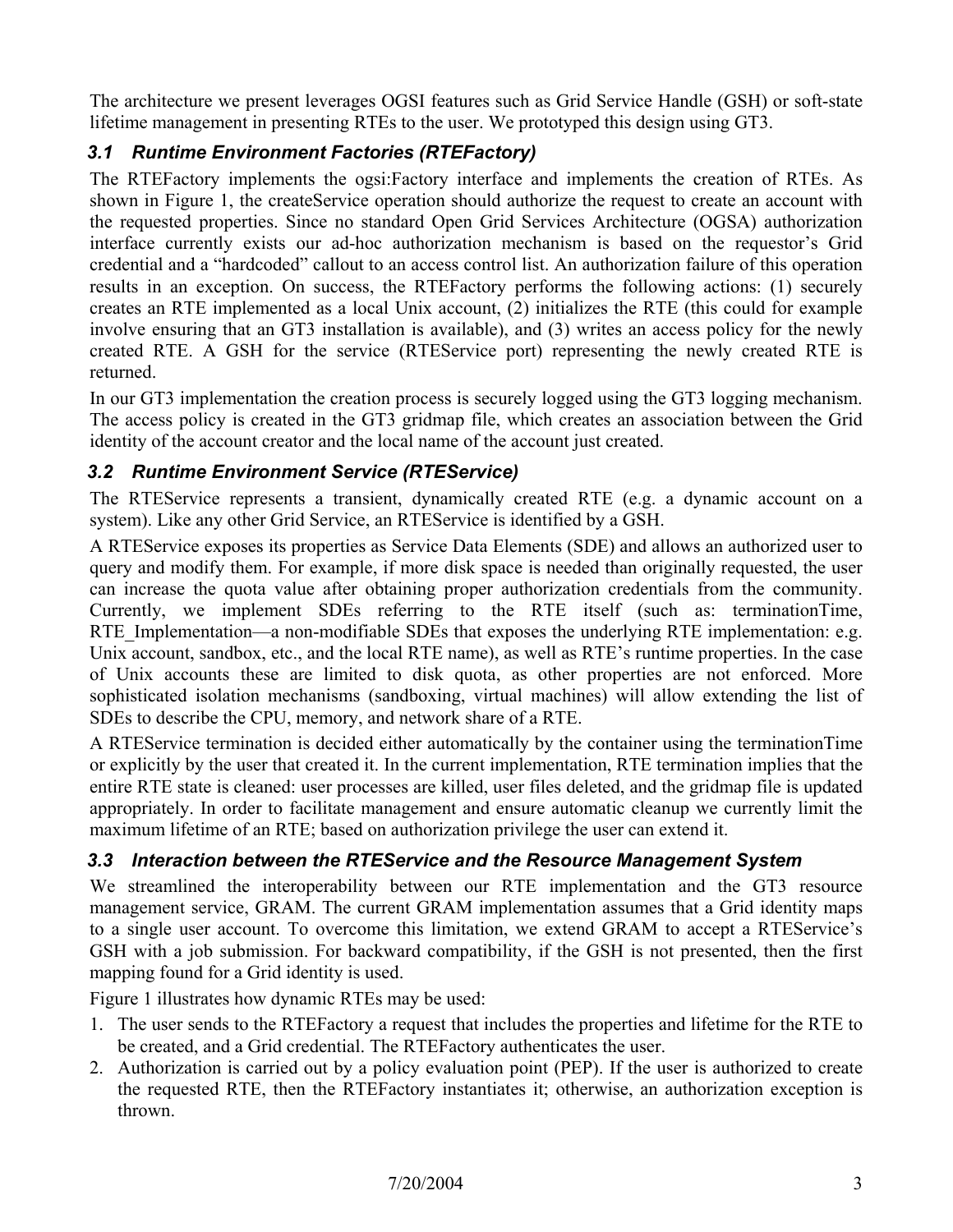The architecture we present leverages OGSI features such as Grid Service Handle (GSH) or soft-state lifetime management in presenting RTEs to the user. We prototyped this design using GT3.

## *3.1 Runtime Environment Factories (RTEFactory)*

The RTEFactory implements the ogsi:Factory interface and implements the creation of RTEs. As shown in Figure 1, the createService operation should authorize the request to create an account with the requested properties. Since no standard Open Grid Services Architecture (OGSA) authorization interface currently exists our ad-hoc authorization mechanism is based on the requestor's Grid credential and a "hardcoded" callout to an access control list. An authorization failure of this operation results in an exception. On success, the RTEFactory performs the following actions: (1) securely creates an RTE implemented as a local Unix account, (2) initializes the RTE (this could for example involve ensuring that an GT3 installation is available), and (3) writes an access policy for the newly created RTE. A GSH for the service (RTEService port) representing the newly created RTE is returned.

In our GT3 implementation the creation process is securely logged using the GT3 logging mechanism. The access policy is created in the GT3 gridmap file, which creates an association between the Grid identity of the account creator and the local name of the account just created.

### *3.2 Runtime Environment Service (RTEService)*

The RTEService represents a transient, dynamically created RTE (e.g. a dynamic account on a system). Like any other Grid Service, an RTEService is identified by a GSH.

A RTEService exposes its properties as Service Data Elements (SDE) and allows an authorized user to query and modify them. For example, if more disk space is needed than originally requested, the user can increase the quota value after obtaining proper authorization credentials from the community. Currently, we implement SDEs referring to the RTE itself (such as: terminationTime, RTE Implementation—a non-modifiable SDEs that exposes the underlying RTE implementation: e.g. Unix account, sandbox, etc., and the local RTE name), as well as RTE's runtime properties. In the case of Unix accounts these are limited to disk quota, as other properties are not enforced. More sophisticated isolation mechanisms (sandboxing, virtual machines) will allow extending the list of SDEs to describe the CPU, memory, and network share of a RTE.

A RTEService termination is decided either automatically by the container using the terminationTime or explicitly by the user that created it. In the current implementation, RTE termination implies that the entire RTE state is cleaned: user processes are killed, user files deleted, and the gridmap file is updated appropriately. In order to facilitate management and ensure automatic cleanup we currently limit the maximum lifetime of an RTE; based on authorization privilege the user can extend it.

### *3.3 Interaction between the RTEService and the Resource Management System*

We streamlined the interoperability between our RTE implementation and the GT3 resource management service, GRAM. The current GRAM implementation assumes that a Grid identity maps to a single user account. To overcome this limitation, we extend GRAM to accept a RTEService's GSH with a job submission. For backward compatibility, if the GSH is not presented, then the first mapping found for a Grid identity is used.

Figure 1 illustrates how dynamic RTEs may be used:

- 1. The user sends to the RTEFactory a request that includes the properties and lifetime for the RTE to be created, and a Grid credential. The RTEFactory authenticates the user.
- 2. Authorization is carried out by a policy evaluation point (PEP). If the user is authorized to create the requested RTE, then the RTEFactory instantiates it; otherwise, an authorization exception is thrown.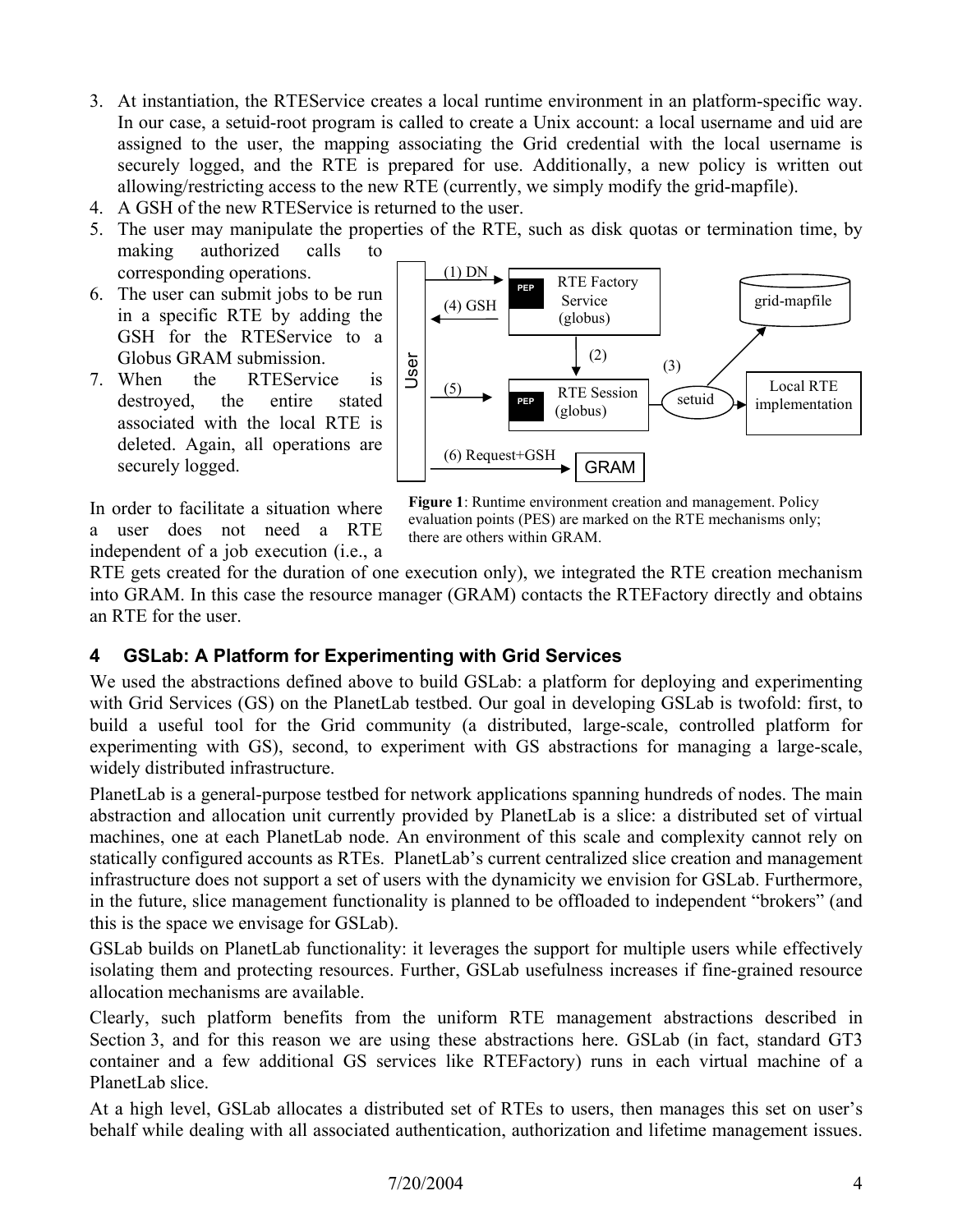- 3. At instantiation, the RTEService creates a local runtime environment in an platform-specific way. In our case, a setuid-root program is called to create a Unix account: a local username and uid are assigned to the user, the mapping associating the Grid credential with the local username is securely logged, and the RTE is prepared for use. Additionally, a new policy is written out allowing/restricting access to the new RTE (currently, we simply modify the grid-mapfile).
- 4. A GSH of the new RTEService is returned to the user.
- 5. The user may manipulate the properties of the RTE, such as disk quotas or termination time, by making authorized calls to corresponding operations.
- 6. The user can submit jobs to be run in a specific RTE by adding the GSH for the RTEService to a Globus GRAM submission.
- 7. When the RTEService is destroyed, the entire stated associated with the local RTE is deleted. Again, all operations are securely logged.

In order to facilitate a situation where a user does not need a RTE independent of a job execution (i.e., a



**Figure 1**: Runtime environment creation and management. Policy evaluation points (PES) are marked on the RTE mechanisms only; there are others within GRAM.

RTE gets created for the duration of one execution only), we integrated the RTE creation mechanism into GRAM. In this case the resource manager (GRAM) contacts the RTEFactory directly and obtains an RTE for the user.

### **4 GSLab: A Platform for Experimenting with Grid Services**

We used the abstractions defined above to build GSLab: a platform for deploying and experimenting with Grid Services (GS) on the PlanetLab testbed. Our goal in developing GSLab is twofold: first, to build a useful tool for the Grid community (a distributed, large-scale, controlled platform for experimenting with GS), second, to experiment with GS abstractions for managing a large-scale, widely distributed infrastructure.

PlanetLab is a general-purpose testbed for network applications spanning hundreds of nodes. The main abstraction and allocation unit currently provided by PlanetLab is a slice: a distributed set of virtual machines, one at each PlanetLab node. An environment of this scale and complexity cannot rely on statically configured accounts as RTEs. PlanetLab's current centralized slice creation and management infrastructure does not support a set of users with the dynamicity we envision for GSLab. Furthermore, in the future, slice management functionality is planned to be offloaded to independent "brokers" (and this is the space we envisage for GSLab).

GSLab builds on PlanetLab functionality: it leverages the support for multiple users while effectively isolating them and protecting resources. Further, GSLab usefulness increases if fine-grained resource allocation mechanisms are available.

Clearly, such platform benefits from the uniform RTE management abstractions described in Section 3, and for this reason we are using these abstractions here. GSLab (in fact, standard GT3 container and a few additional GS services like RTEFactory) runs in each virtual machine of a PlanetLab slice.

At a high level, GSLab allocates a distributed set of RTEs to users, then manages this set on user's behalf while dealing with all associated authentication, authorization and lifetime management issues.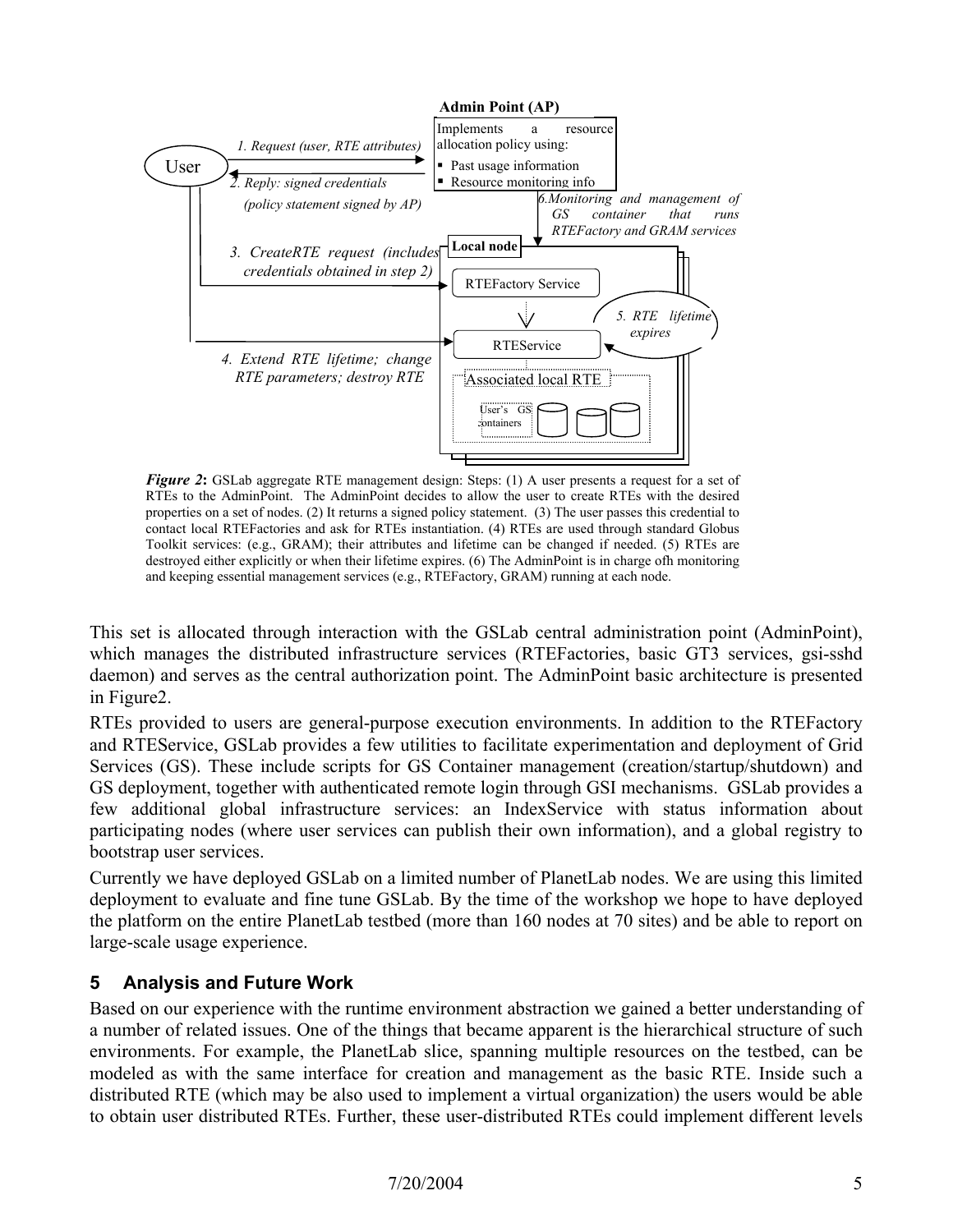

*Figure 2*: GSLab aggregate RTE management design: Steps: (1) A user presents a request for a set of RTEs to the AdminPoint. The AdminPoint decides to allow the user to create RTEs with the desired properties on a set of nodes. (2) It returns a signed policy statement. (3) The user passes this credential to contact local RTEFactories and ask for RTEs instantiation. (4) RTEs are used through standard Globus Toolkit services: (e.g., GRAM); their attributes and lifetime can be changed if needed. (5) RTEs are destroyed either explicitly or when their lifetime expires. (6) The AdminPoint is in charge ofh monitoring and keeping essential management services (e.g., RTEFactory, GRAM) running at each node.

This set is allocated through interaction with the GSLab central administration point (AdminPoint), which manages the distributed infrastructure services (RTEFactories, basic GT3 services, gsi-sshd daemon) and serves as the central authorization point. The AdminPoint basic architecture is presented in Figure2.

RTEs provided to users are general-purpose execution environments. In addition to the RTEFactory and RTEService, GSLab provides a few utilities to facilitate experimentation and deployment of Grid Services (GS). These include scripts for GS Container management (creation/startup/shutdown) and GS deployment, together with authenticated remote login through GSI mechanisms. GSLab provides a few additional global infrastructure services: an IndexService with status information about participating nodes (where user services can publish their own information), and a global registry to bootstrap user services.

Currently we have deployed GSLab on a limited number of PlanetLab nodes. We are using this limited deployment to evaluate and fine tune GSLab. By the time of the workshop we hope to have deployed the platform on the entire PlanetLab testbed (more than 160 nodes at 70 sites) and be able to report on large-scale usage experience.

### **5 Analysis and Future Work**

Based on our experience with the runtime environment abstraction we gained a better understanding of a number of related issues. One of the things that became apparent is the hierarchical structure of such environments. For example, the PlanetLab slice, spanning multiple resources on the testbed, can be modeled as with the same interface for creation and management as the basic RTE. Inside such a distributed RTE (which may be also used to implement a virtual organization) the users would be able to obtain user distributed RTEs. Further, these user-distributed RTEs could implement different levels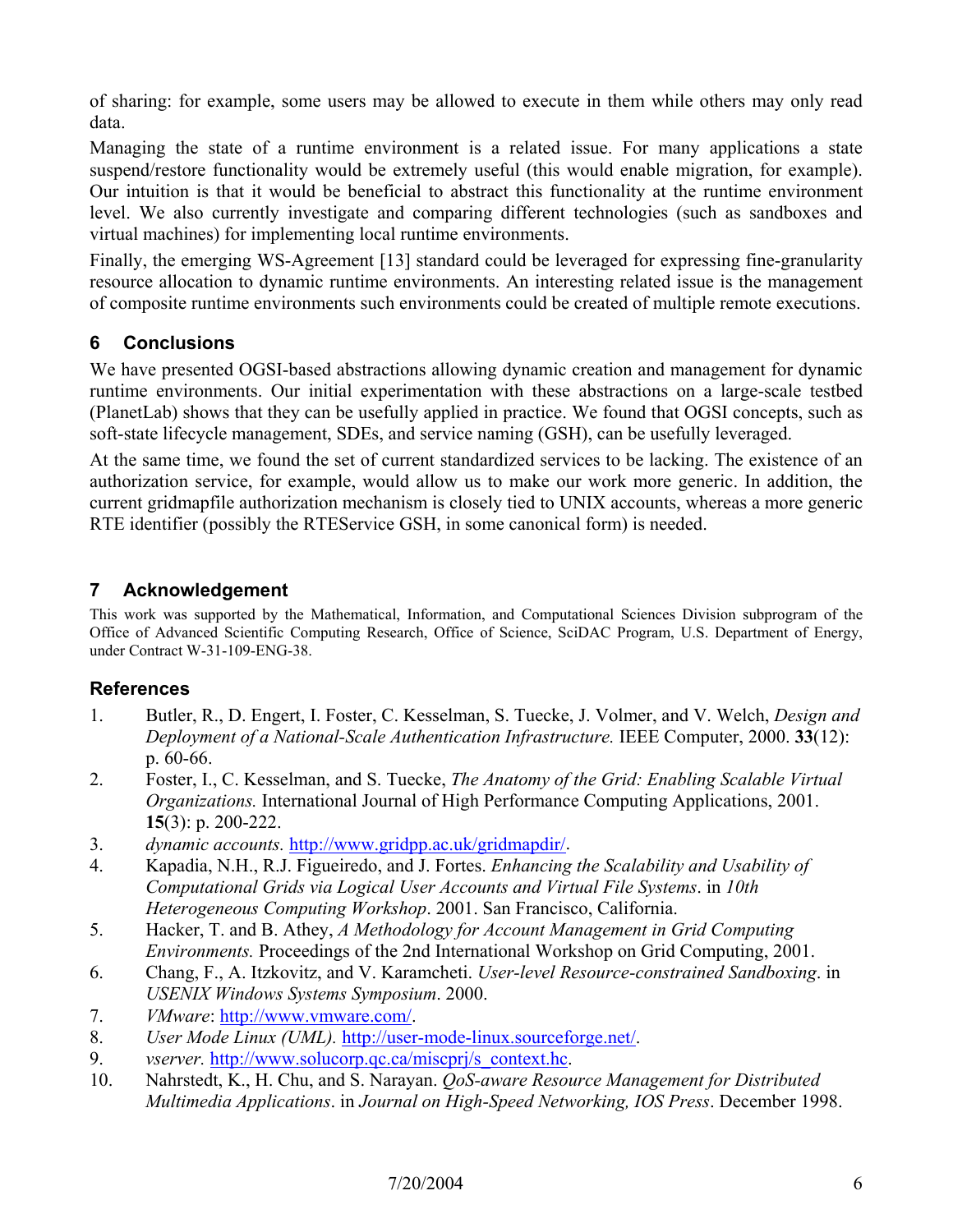of sharing: for example, some users may be allowed to execute in them while others may only read data.

Managing the state of a runtime environment is a related issue. For many applications a state suspend/restore functionality would be extremely useful (this would enable migration, for example). Our intuition is that it would be beneficial to abstract this functionality at the runtime environment level. We also currently investigate and comparing different technologies (such as sandboxes and virtual machines) for implementing local runtime environments.

Finally, the emerging WS-Agreement [13] standard could be leveraged for expressing fine-granularity resource allocation to dynamic runtime environments. An interesting related issue is the management of composite runtime environments such environments could be created of multiple remote executions.

### **6 Conclusions**

We have presented OGSI-based abstractions allowing dynamic creation and management for dynamic runtime environments. Our initial experimentation with these abstractions on a large-scale testbed (PlanetLab) shows that they can be usefully applied in practice. We found that OGSI concepts, such as soft-state lifecycle management, SDEs, and service naming (GSH), can be usefully leveraged.

At the same time, we found the set of current standardized services to be lacking. The existence of an authorization service, for example, would allow us to make our work more generic. In addition, the current gridmapfile authorization mechanism is closely tied to UNIX accounts, whereas a more generic RTE identifier (possibly the RTEService GSH, in some canonical form) is needed.

### **7 Acknowledgement**

This work was supported by the Mathematical, Information, and Computational Sciences Division subprogram of the Office of Advanced Scientific Computing Research, Office of Science, SciDAC Program, U.S. Department of Energy, under Contract W-31-109-ENG-38.

### **References**

- 1. Butler, R., D. Engert, I. Foster, C. Kesselman, S. Tuecke, J. Volmer, and V. Welch, *Design and Deployment of a National-Scale Authentication Infrastructure.* IEEE Computer, 2000. **33**(12): p. 60-66.
- 2. Foster, I., C. Kesselman, and S. Tuecke, *The Anatomy of the Grid: Enabling Scalable Virtual Organizations.* International Journal of High Performance Computing Applications, 2001. **15**(3): p. 200-222.
- 3. *dynamic accounts.* http://www.gridpp.ac.uk/gridmapdir/.
- 4. Kapadia, N.H., R.J. Figueiredo, and J. Fortes. *Enhancing the Scalability and Usability of Computational Grids via Logical User Accounts and Virtual File Systems*. in *10th Heterogeneous Computing Workshop*. 2001. San Francisco, California.
- 5. Hacker, T. and B. Athey, *A Methodology for Account Management in Grid Computing Environments.* Proceedings of the 2nd International Workshop on Grid Computing, 2001.
- 6. Chang, F., A. Itzkovitz, and V. Karamcheti. *User-level Resource-constrained Sandboxing*. in *USENIX Windows Systems Symposium*. 2000.
- 7. *VMware*: http://www.vmware.com/.
- 8. *User Mode Linux (UML).* http://user-mode-linux.sourceforge.net/.
- 9. *vserver.* http://www.solucorp.qc.ca/miscprj/s\_context.hc.
- 10. Nahrstedt, K., H. Chu, and S. Narayan. *QoS-aware Resource Management for Distributed Multimedia Applications*. in *Journal on High-Speed Networking, IOS Press*. December 1998.